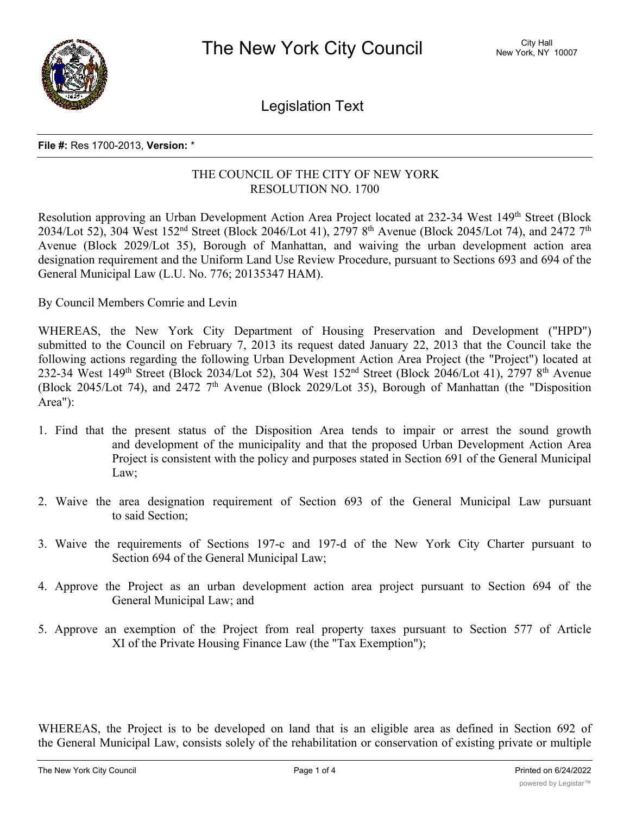

Legislation Text

## **File #:** Res 1700-2013, **Version:** \*

## THE COUNCIL OF THE CITY OF NEW YORK RESOLUTION NO. 1700

Resolution approving an Urban Development Action Area Project located at 232-34 West 149<sup>th</sup> Street (Block 2034/Lot 52), 304 West 152<sup>nd</sup> Street (Block 2046/Lot 41), 2797 8<sup>th</sup> Avenue (Block 2045/Lot 74), and 2472 7<sup>th</sup> Avenue (Block 2029/Lot 35), Borough of Manhattan, and waiving the urban development action area designation requirement and the Uniform Land Use Review Procedure, pursuant to Sections 693 and 694 of the General Municipal Law (L.U. No. 776; 20135347 HAM).

By Council Members Comrie and Levin

WHEREAS, the New York City Department of Housing Preservation and Development ("HPD") submitted to the Council on February 7, 2013 its request dated January 22, 2013 that the Council take the following actions regarding the following Urban Development Action Area Project (the "Project") located at 232-34 West 149<sup>th</sup> Street (Block 2034/Lot 52), 304 West 152<sup>nd</sup> Street (Block 2046/Lot 41), 2797 8<sup>th</sup> Avenue (Block 2045/Lot 74), and 2472  $7<sup>th</sup>$  Avenue (Block 2029/Lot 35), Borough of Manhattan (the "Disposition Area"):

- 1. Find that the present status of the Disposition Area tends to impair or arrest the sound growth and development of the municipality and that the proposed Urban Development Action Area Project is consistent with the policy and purposes stated in Section 691 of the General Municipal Law;
- 2. Waive the area designation requirement of Section 693 of the General Municipal Law pursuant to said Section;
- 3. Waive the requirements of Sections 197-c and 197-d of the New York City Charter pursuant to Section 694 of the General Municipal Law;
- 4. Approve the Project as an urban development action area project pursuant to Section 694 of the General Municipal Law; and
- 5. Approve an exemption of the Project from real property taxes pursuant to Section 577 of Article XI of the Private Housing Finance Law (the "Tax Exemption");

WHEREAS, the Project is to be developed on land that is an eligible area as defined in Section 692 of the General Municipal Law, consists solely of the rehabilitation or conservation of existing private or multiple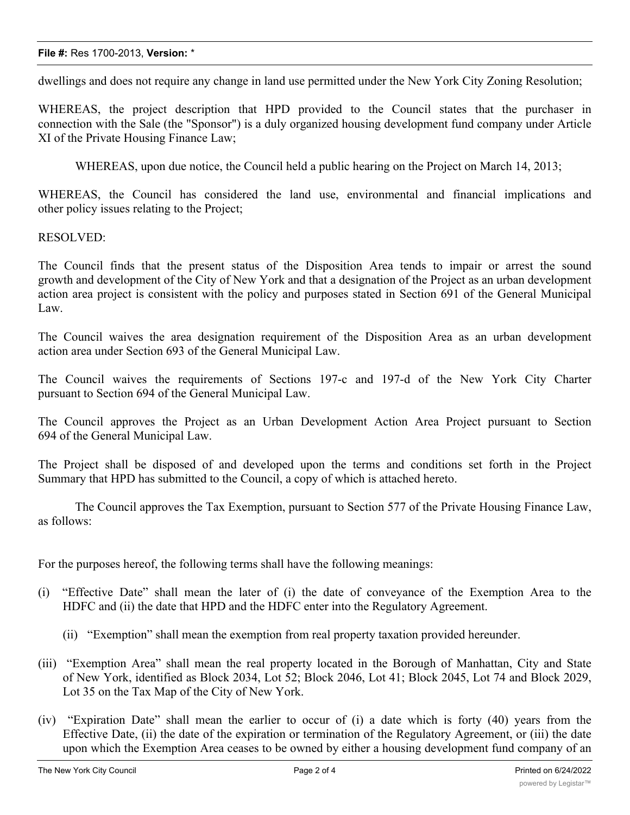## **File #:** Res 1700-2013, **Version:** \*

dwellings and does not require any change in land use permitted under the New York City Zoning Resolution;

WHEREAS, the project description that HPD provided to the Council states that the purchaser in connection with the Sale (the "Sponsor") is a duly organized housing development fund company under Article XI of the Private Housing Finance Law;

WHEREAS, upon due notice, the Council held a public hearing on the Project on March 14, 2013;

WHEREAS, the Council has considered the land use, environmental and financial implications and other policy issues relating to the Project;

RESOLVED:

The Council finds that the present status of the Disposition Area tends to impair or arrest the sound growth and development of the City of New York and that a designation of the Project as an urban development action area project is consistent with the policy and purposes stated in Section 691 of the General Municipal Law.

The Council waives the area designation requirement of the Disposition Area as an urban development action area under Section 693 of the General Municipal Law.

The Council waives the requirements of Sections 197-c and 197-d of the New York City Charter pursuant to Section 694 of the General Municipal Law.

The Council approves the Project as an Urban Development Action Area Project pursuant to Section 694 of the General Municipal Law.

The Project shall be disposed of and developed upon the terms and conditions set forth in the Project Summary that HPD has submitted to the Council, a copy of which is attached hereto.

The Council approves the Tax Exemption, pursuant to Section 577 of the Private Housing Finance Law, as follows:

For the purposes hereof, the following terms shall have the following meanings:

- (i) "Effective Date" shall mean the later of (i) the date of conveyance of the Exemption Area to the HDFC and (ii) the date that HPD and the HDFC enter into the Regulatory Agreement.
	- (ii) "Exemption" shall mean the exemption from real property taxation provided hereunder.
- (iii) "Exemption Area" shall mean the real property located in the Borough of Manhattan, City and State of New York, identified as Block 2034, Lot 52; Block 2046, Lot 41; Block 2045, Lot 74 and Block 2029, Lot 35 on the Tax Map of the City of New York.
- (iv) "Expiration Date" shall mean the earlier to occur of (i) a date which is forty (40) years from the Effective Date, (ii) the date of the expiration or termination of the Regulatory Agreement, or (iii) the date upon which the Exemption Area ceases to be owned by either a housing development fund company of an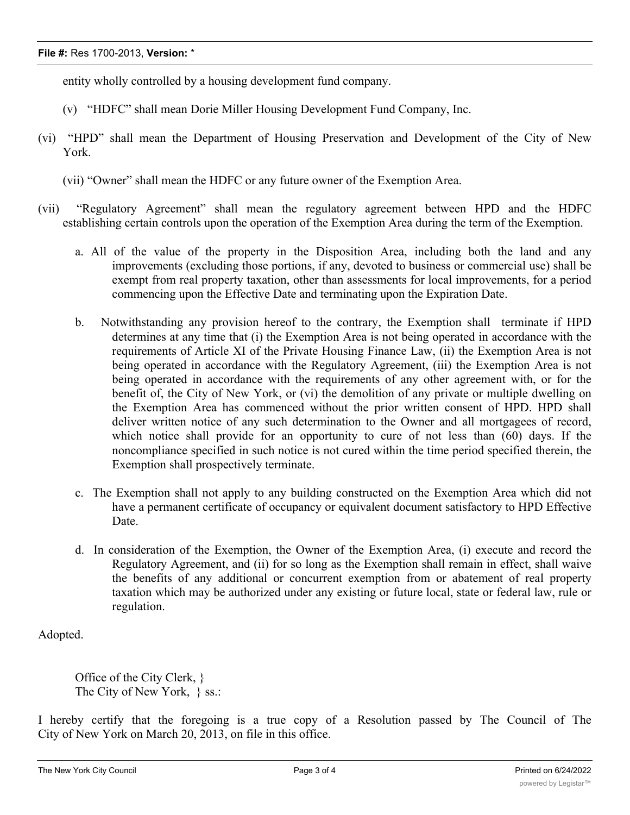entity wholly controlled by a housing development fund company.

- (v) "HDFC" shall mean Dorie Miller Housing Development Fund Company, Inc.
- (vi) "HPD" shall mean the Department of Housing Preservation and Development of the City of New York.
	- (vii) "Owner" shall mean the HDFC or any future owner of the Exemption Area.
- (vii) "Regulatory Agreement" shall mean the regulatory agreement between HPD and the HDFC establishing certain controls upon the operation of the Exemption Area during the term of the Exemption.
	- a. All of the value of the property in the Disposition Area, including both the land and any improvements (excluding those portions, if any, devoted to business or commercial use) shall be exempt from real property taxation, other than assessments for local improvements, for a period commencing upon the Effective Date and terminating upon the Expiration Date.
	- b. Notwithstanding any provision hereof to the contrary, the Exemption shall terminate if HPD determines at any time that (i) the Exemption Area is not being operated in accordance with the requirements of Article XI of the Private Housing Finance Law, (ii) the Exemption Area is not being operated in accordance with the Regulatory Agreement, (iii) the Exemption Area is not being operated in accordance with the requirements of any other agreement with, or for the benefit of, the City of New York, or (vi) the demolition of any private or multiple dwelling on the Exemption Area has commenced without the prior written consent of HPD. HPD shall deliver written notice of any such determination to the Owner and all mortgagees of record, which notice shall provide for an opportunity to cure of not less than (60) days. If the noncompliance specified in such notice is not cured within the time period specified therein, the Exemption shall prospectively terminate.
	- c. The Exemption shall not apply to any building constructed on the Exemption Area which did not have a permanent certificate of occupancy or equivalent document satisfactory to HPD Effective Date.
	- d. In consideration of the Exemption, the Owner of the Exemption Area, (i) execute and record the Regulatory Agreement, and (ii) for so long as the Exemption shall remain in effect, shall waive the benefits of any additional or concurrent exemption from or abatement of real property taxation which may be authorized under any existing or future local, state or federal law, rule or regulation.

Adopted.

Office of the City Clerk, } The City of New York, } ss.:

I hereby certify that the foregoing is a true copy of a Resolution passed by The Council of The City of New York on March 20, 2013, on file in this office.